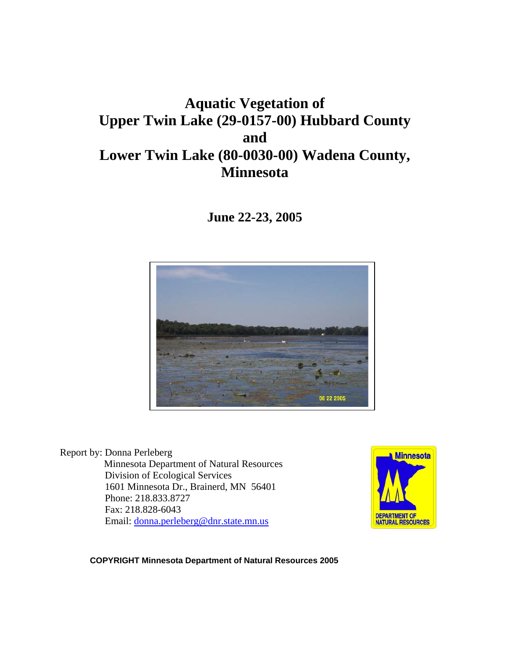# **Aquatic Vegetation of Upper Twin Lake (29-0157-00) Hubbard County and Lower Twin Lake (80-0030-00) Wadena County, Minnesota**

**June 22-23, 2005** 



Report by: Donna Perleberg Minnesota Department of Natural Resources Division of Ecological Services 1601 Minnesota Dr., Brainerd, MN 56401 Phone: 218.833.8727 Fax: 218.828-6043 Email: [donna.perleberg@dnr.state.mn.us](mailto:donna.perleberg@dnr.state.mn.us)



**COPYRIGHT Minnesota Department of Natural Resources 2005**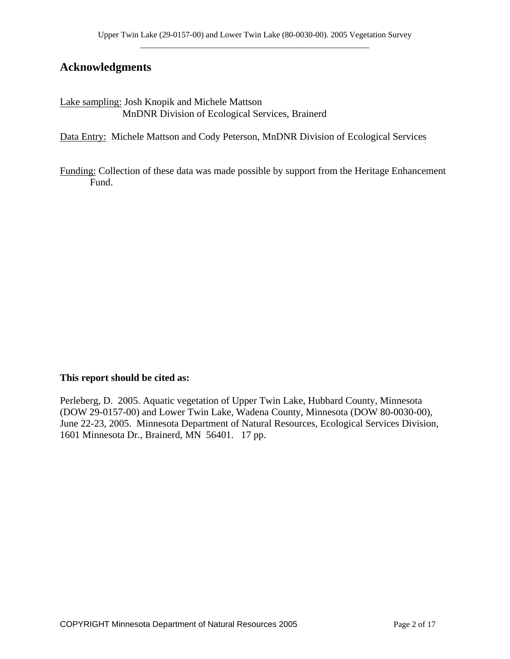## **Acknowledgments**

Lake sampling: Josh Knopik and Michele Mattson MnDNR Division of Ecological Services, Brainerd

Data Entry: Michele Mattson and Cody Peterson, MnDNR Division of Ecological Services

Funding: Collection of these data was made possible by support from the Heritage Enhancement Fund.

#### **This report should be cited as:**

Perleberg, D. 2005. Aquatic vegetation of Upper Twin Lake, Hubbard County, Minnesota (DOW 29-0157-00) and Lower Twin Lake, Wadena County, Minnesota (DOW 80-0030-00), June 22-23, 2005. Minnesota Department of Natural Resources, Ecological Services Division, 1601 Minnesota Dr., Brainerd, MN 56401. 17 pp.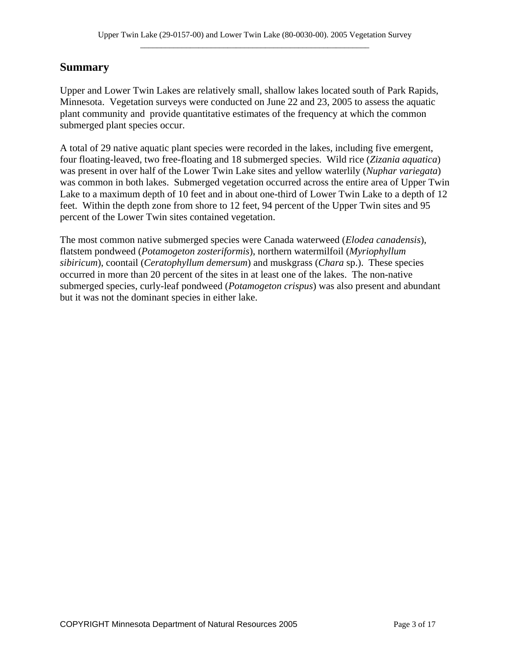## **Summary**

Upper and Lower Twin Lakes are relatively small, shallow lakes located south of Park Rapids, Minnesota. Vegetation surveys were conducted on June 22 and 23, 2005 to assess the aquatic plant community and provide quantitative estimates of the frequency at which the common submerged plant species occur.

A total of 29 native aquatic plant species were recorded in the lakes, including five emergent, four floating-leaved, two free-floating and 18 submerged species. Wild rice (*Zizania aquatica*) was present in over half of the Lower Twin Lake sites and yellow waterlily (*Nuphar variegata*) was common in both lakes. Submerged vegetation occurred across the entire area of Upper Twin Lake to a maximum depth of 10 feet and in about one-third of Lower Twin Lake to a depth of 12 feet. Within the depth zone from shore to 12 feet, 94 percent of the Upper Twin sites and 95 percent of the Lower Twin sites contained vegetation.

The most common native submerged species were Canada waterweed (*Elodea canadensis*), flatstem pondweed (*Potamogeton zosteriformis*), northern watermilfoil (*Myriophyllum sibiricum*), coontail (*Ceratophyllum demersum*) and muskgrass (*Chara* sp.). These species occurred in more than 20 percent of the sites in at least one of the lakes. The non-native submerged species, curly-leaf pondweed (*Potamogeton crispus*) was also present and abundant but it was not the dominant species in either lake.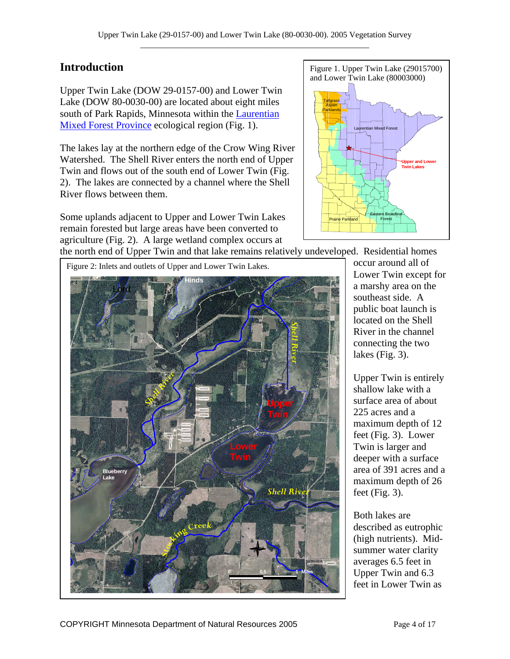## **Introduction**

Upper Twin Lake (DOW 29-0157-00) and Lower Twin Lake (DOW 80-0030-00) are located about eight miles south of Park Rapids, Minnesota within the [Laurentian](http://www.dnr.state.mn.us/ecs/index.html)  [Mixed Forest Province](http://www.dnr.state.mn.us/ecs/index.html) ecological region (Fig. 1).

The lakes lay at the northern edge of the Crow Wing River Watershed. The Shell River enters the north end of Upper Twin and flows out of the south end of Lower Twin (Fig. 2). The lakes are connected by a channel where the Shell River flows between them.

Some uplands adjacent to Upper and Lower Twin Lakes remain forested but large areas have been converted to agriculture (Fig. 2). A large wetland complex occurs at



the north end of Upper Twin and that lake remains relatively undeveloped. Residential homes



occur around all of Lower Twin except for a marshy area on the southeast side. A public boat launch is located on the Shell River in the channel connecting the two lakes (Fig. 3).

Upper Twin is entirely shallow lake with a surface area of about 225 acres and a maximum depth of 12 feet (Fig. 3). Lower Twin is larger and deeper with a surface area of 391 acres and a maximum depth of 26 feet (Fig. 3).

Both lakes are described as eutrophic (high nutrients). Midsummer water clarity averages 6.5 feet in Upper Twin and 6.3 feet in Lower Twin as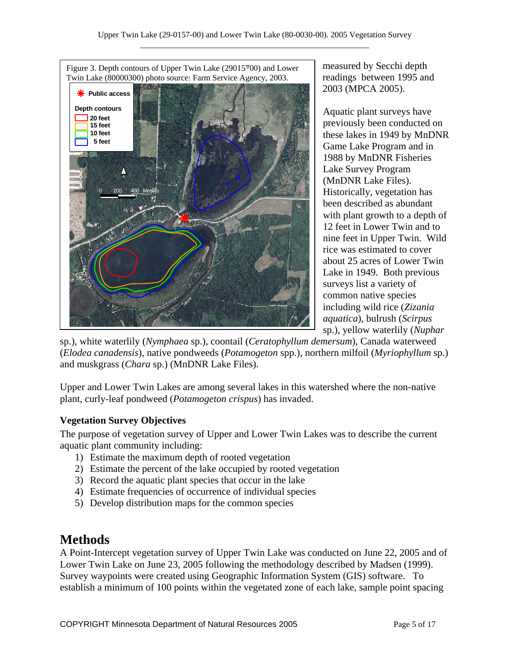

measured by Secchi depth readings between 1995 and 2003 (MPCA 2005).

Aquatic plant surveys have previously been conducted on these lakes in 1949 by MnDNR Game Lake Program and in 1988 by MnDNR Fisheries Lake Survey Program (MnDNR Lake Files). Historically, vegetation has been described as abundant with plant growth to a depth of 12 feet in Lower Twin and to nine feet in Upper Twin. Wild rice was estimated to cover about 25 acres of Lower Twin Lake in 1949. Both previous surveys list a variety of common native species including wild rice (*Zizania aquatica*), bulrush (*Scirpus* sp.), yellow waterlily (*Nuphar*

sp.), white waterlily (*Nymphaea* sp.), coontail (*Ceratophyllum demersum*), Canada waterweed (*Elodea canadensis*), native pondweeds (*Potamogeton* spp.), northern milfoil (*Myriophyllum* sp.) and muskgrass (*Chara* sp.) (MnDNR Lake Files).

Upper and Lower Twin Lakes are among several lakes in this watershed where the non-native plant, curly-leaf pondweed (*Potamogeton crispus*) has invaded.

### **Vegetation Survey Objectives**

The purpose of vegetation survey of Upper and Lower Twin Lakes was to describe the current aquatic plant community including:

- 1) Estimate the maximum depth of rooted vegetation
- 2) Estimate the percent of the lake occupied by rooted vegetation
- 3) Record the aquatic plant species that occur in the lake
- 4) Estimate frequencies of occurrence of individual species
- 5) Develop distribution maps for the common species

## **Methods**

A Point-Intercept vegetation survey of Upper Twin Lake was conducted on June 22, 2005 and of Lower Twin Lake on June 23, 2005 following the methodology described by Madsen (1999). Survey waypoints were created using Geographic Information System (GIS) software. To establish a minimum of 100 points within the vegetated zone of each lake, sample point spacing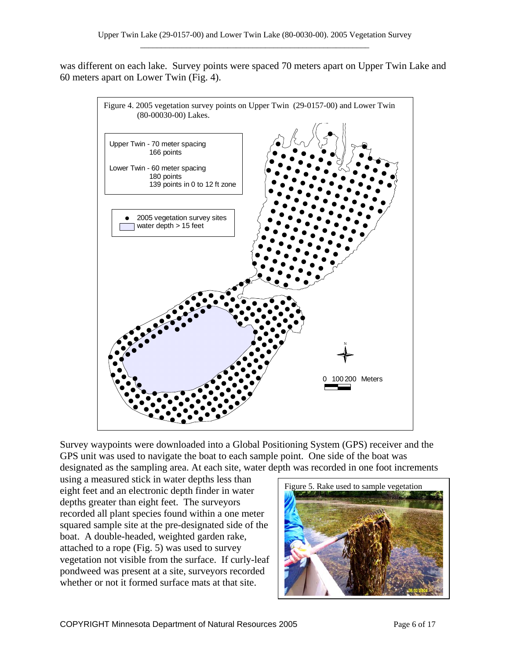was different on each lake. Survey points were spaced 70 meters apart on Upper Twin Lake and 60 meters apart on Lower Twin (Fig. 4).



Survey waypoints were downloaded into a Global Positioning System (GPS) receiver and the GPS unit was used to navigate the boat to each sample point. One side of the boat was designated as the sampling area. At each site, water depth was recorded in one foot increments

using a measured stick in water depths less than eight feet and an electronic depth finder in water depths greater than eight feet. The surveyors recorded all plant species found within a one meter squared sample site at the pre-designated side of the boat. A double-headed, weighted garden rake, attached to a rope (Fig. 5) was used to survey vegetation not visible from the surface. If curly-leaf pondweed was present at a site, surveyors recorded whether or not it formed surface mats at that site.

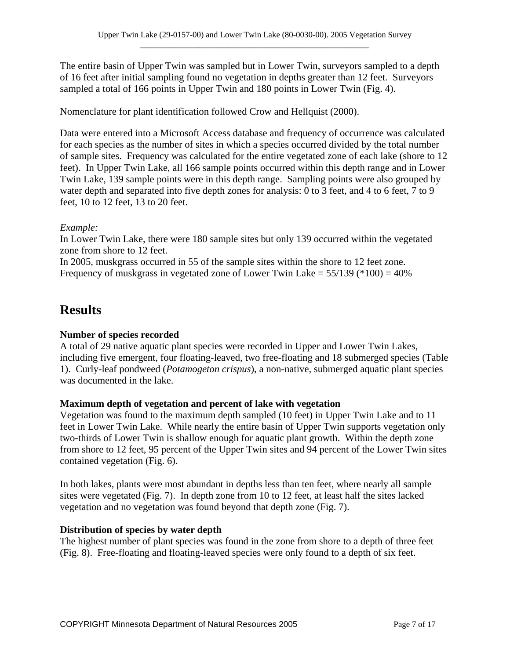The entire basin of Upper Twin was sampled but in Lower Twin, surveyors sampled to a depth of 16 feet after initial sampling found no vegetation in depths greater than 12 feet. Surveyors sampled a total of 166 points in Upper Twin and 180 points in Lower Twin (Fig. 4).

Nomenclature for plant identification followed Crow and Hellquist (2000).

Data were entered into a Microsoft Access database and frequency of occurrence was calculated for each species as the number of sites in which a species occurred divided by the total number of sample sites. Frequency was calculated for the entire vegetated zone of each lake (shore to 12 feet). In Upper Twin Lake, all 166 sample points occurred within this depth range and in Lower Twin Lake, 139 sample points were in this depth range. Sampling points were also grouped by water depth and separated into five depth zones for analysis: 0 to 3 feet, and 4 to 6 feet, 7 to 9 feet, 10 to 12 feet, 13 to 20 feet.

#### *Example:*

In Lower Twin Lake, there were 180 sample sites but only 139 occurred within the vegetated zone from shore to 12 feet.

In 2005, muskgrass occurred in 55 of the sample sites within the shore to 12 feet zone. Frequency of muskgrass in vegetated zone of Lower Twin Lake =  $55/139$  (\*100) =  $40\%$ 

## **Results**

#### **Number of species recorded**

A total of 29 native aquatic plant species were recorded in Upper and Lower Twin Lakes, including five emergent, four floating-leaved, two free-floating and 18 submerged species (Table 1). Curly-leaf pondweed (*Potamogeton crispus*), a non-native, submerged aquatic plant species was documented in the lake.

#### **Maximum depth of vegetation and percent of lake with vegetation**

Vegetation was found to the maximum depth sampled (10 feet) in Upper Twin Lake and to 11 feet in Lower Twin Lake. While nearly the entire basin of Upper Twin supports vegetation only two-thirds of Lower Twin is shallow enough for aquatic plant growth. Within the depth zone from shore to 12 feet, 95 percent of the Upper Twin sites and 94 percent of the Lower Twin sites contained vegetation (Fig. 6).

In both lakes, plants were most abundant in depths less than ten feet, where nearly all sample sites were vegetated (Fig. 7). In depth zone from 10 to 12 feet, at least half the sites lacked vegetation and no vegetation was found beyond that depth zone (Fig. 7).

#### **Distribution of species by water depth**

The highest number of plant species was found in the zone from shore to a depth of three feet (Fig. 8). Free-floating and floating-leaved species were only found to a depth of six feet.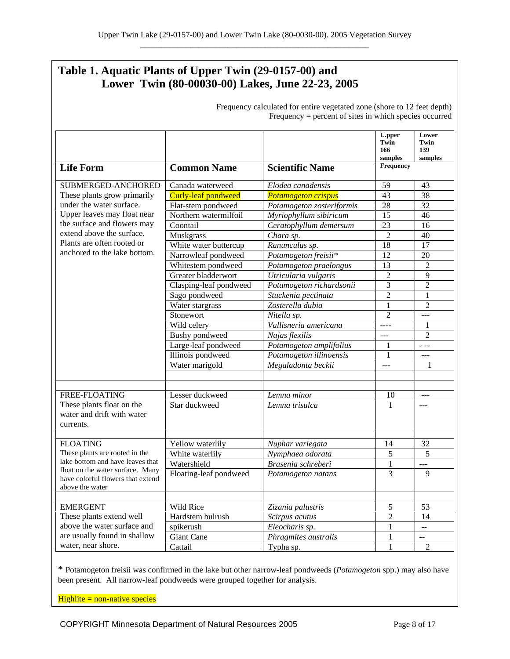## **Table 1. Aquatic Plants of Upper Twin (29-0157-00) and Lower Twin (80-00030-00) Lakes, June 22-23, 2005**

| requeste, euremned for entrie regenned zone (onore to 12 feet depth)<br>$Frequency = percent of sites in which species occurred$                                                                                                       |                            |                            |                                         |                                 |
|----------------------------------------------------------------------------------------------------------------------------------------------------------------------------------------------------------------------------------------|----------------------------|----------------------------|-----------------------------------------|---------------------------------|
|                                                                                                                                                                                                                                        |                            |                            | <b>U.pper</b><br>Twin<br>166<br>samples | Lower<br>Twin<br>139<br>samples |
| <b>Life Form</b>                                                                                                                                                                                                                       | <b>Common Name</b>         | <b>Scientific Name</b>     | Frequency                               |                                 |
| SUBMERGED-ANCHORED<br>These plants grow primarily<br>under the water surface.<br>Upper leaves may float near<br>the surface and flowers may<br>extend above the surface.<br>Plants are often rooted or<br>anchored to the lake bottom. | Canada waterweed           | Elodea canadensis          | 59                                      | 43                              |
|                                                                                                                                                                                                                                        | <b>Curly-leaf pondweed</b> | <b>Potamogeton crispus</b> | 43                                      | 38                              |
|                                                                                                                                                                                                                                        | Flat-stem pondweed         | Potamogeton zosteriformis  | 28                                      | 32                              |
|                                                                                                                                                                                                                                        | Northern watermilfoil      | Myriophyllum sibiricum     | 15                                      | 46                              |
|                                                                                                                                                                                                                                        | Coontail                   | Ceratophyllum demersum     | 23                                      | 16                              |
|                                                                                                                                                                                                                                        | <b>Muskgrass</b>           | Chara sp.                  | $\overline{2}$                          | 40                              |
|                                                                                                                                                                                                                                        | White water buttercup      | Ranunculus sp.             | 18                                      | 17                              |
|                                                                                                                                                                                                                                        | Narrowleaf pondweed        | Potamogeton freisii*       | 12                                      | 20                              |
|                                                                                                                                                                                                                                        | Whitestem pondweed         | Potamogeton praelongus     | 13                                      | $\overline{c}$                  |
|                                                                                                                                                                                                                                        | Greater bladderwort        | Utricularia vulgaris       | $\overline{2}$                          | 9                               |
|                                                                                                                                                                                                                                        | Clasping-leaf pondweed     | Potamogeton richardsonii   | $\mathfrak{Z}$                          | $\overline{2}$                  |
|                                                                                                                                                                                                                                        | Sago pondweed              | Stuckenia pectinata        | $\overline{2}$                          | 1                               |
|                                                                                                                                                                                                                                        | Water stargrass            | Zosterella dubia           | $\mathbf{1}$                            | $\overline{c}$                  |
|                                                                                                                                                                                                                                        | Stonewort                  | Nitella sp.                | $\overline{2}$                          | ---                             |
|                                                                                                                                                                                                                                        | Wild celery                | Vallisneria americana      | $- - - -$                               | 1                               |
|                                                                                                                                                                                                                                        | Bushy pondweed             | Najas flexilis             | $---$                                   | $\overline{c}$                  |
|                                                                                                                                                                                                                                        | Large-leaf pondweed        | Potamogeton amplifolius    | 1                                       | - --                            |
|                                                                                                                                                                                                                                        | Illinois pondweed          | Potamogeton illinoensis    | 1                                       | ---                             |
|                                                                                                                                                                                                                                        | Water marigold             | Megaladonta beckii         | $---$                                   | 1                               |
|                                                                                                                                                                                                                                        |                            |                            |                                         |                                 |
|                                                                                                                                                                                                                                        |                            |                            |                                         |                                 |
| FREE-FLOATING                                                                                                                                                                                                                          | Lesser duckweed            | Lemna minor                | 10                                      | ---                             |
| These plants float on the<br>water and drift with water<br>currents.                                                                                                                                                                   | Star duckweed              | Lemna trisulca             | 1                                       | $---$                           |
|                                                                                                                                                                                                                                        |                            |                            |                                         |                                 |
| <b>FLOATING</b><br>These plants are rooted in the<br>lake bottom and have leaves that                                                                                                                                                  | Yellow waterlily           | Nuphar variegata           | 14                                      | 32                              |
|                                                                                                                                                                                                                                        | White waterlily            | Nymphaea odorata           | 5                                       | 5                               |
| float on the water surface. Many                                                                                                                                                                                                       | Watershield                | Brasenia schreberi         | $\mathbf{1}$                            | ---                             |
| have colorful flowers that extend<br>above the water                                                                                                                                                                                   | Floating-leaf pondweed     | Potamogeton natans         | 3                                       | 9                               |
|                                                                                                                                                                                                                                        |                            |                            |                                         |                                 |
| <b>EMERGENT</b><br>These plants extend well<br>above the water surface and<br>are usually found in shallow                                                                                                                             | Wild Rice                  | Zizania palustris          | 5                                       | 53                              |
|                                                                                                                                                                                                                                        | Hardstem bulrush           | Scirpus acutus             | $\overline{2}$                          | 14                              |
|                                                                                                                                                                                                                                        | spikerush                  | Eleocharis sp.             | 1                                       | 44                              |
|                                                                                                                                                                                                                                        | Giant Cane                 | Phragmites australis       | 1                                       | $- -$                           |
| water, near shore.                                                                                                                                                                                                                     | Cattail                    | Typha sp.                  | 1                                       | $\overline{2}$                  |

Frequency calculated for entire vegetated zone (shore to 12 feet depth)

\* Potamogeton freisii was confirmed in the lake but other narrow-leaf pondweeds (*Potamogeton* spp.) may also have been present. All narrow-leaf pondweeds were grouped together for analysis.

Highlite = non-native species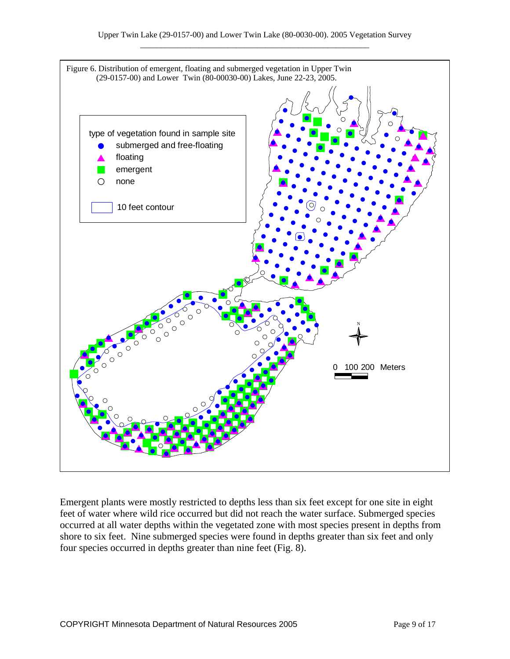

Emergent plants were mostly restricted to depths less than six feet except for one site in eight feet of water where wild rice occurred but did not reach the water surface. Submerged species occurred at all water depths within the vegetated zone with most species present in depths from shore to six feet. Nine submerged species were found in depths greater than six feet and only four species occurred in depths greater than nine feet (Fig. 8).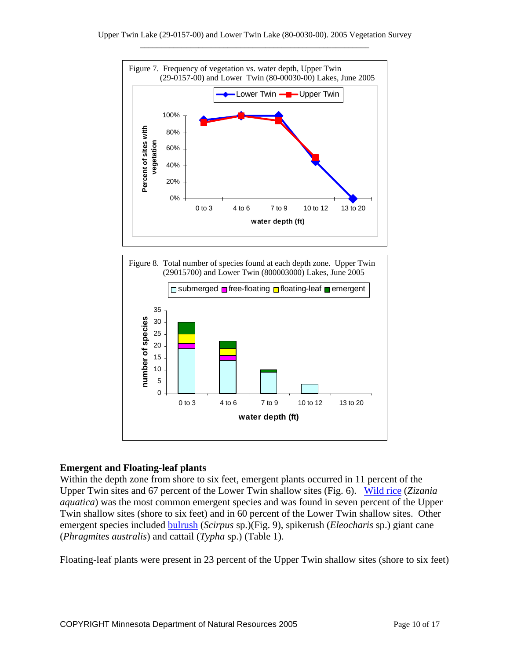



#### **Emergent and Floating-leaf plants**

Within the depth zone from shore to six feet, emergent plants occurred in 11 percent of the Upper Twin sites and 67 percent of the Lower Twin shallow sites (Fig. 6). [Wild rice](http://www.dnr.state.mn.us/aquatic_plants/emergent_plants/wildrice.html) (*Zizania aquatica*) was the most common emergent species and was found in seven percent of the Upper Twin shallow sites (shore to six feet) and in 60 percent of the Lower Twin shallow sites. Other emergent species included [bulrush](http://www.dnr.state.mn.us/aquatic_plants/emergent_plants/bulrushes.html) (*Scirpus* sp.)(Fig. 9), spikerush (*Eleocharis* sp.) giant cane (*Phragmites australis*) and cattail (*Typha* sp.) (Table 1).

Floating-leaf plants were present in 23 percent of the Upper Twin shallow sites (shore to six feet)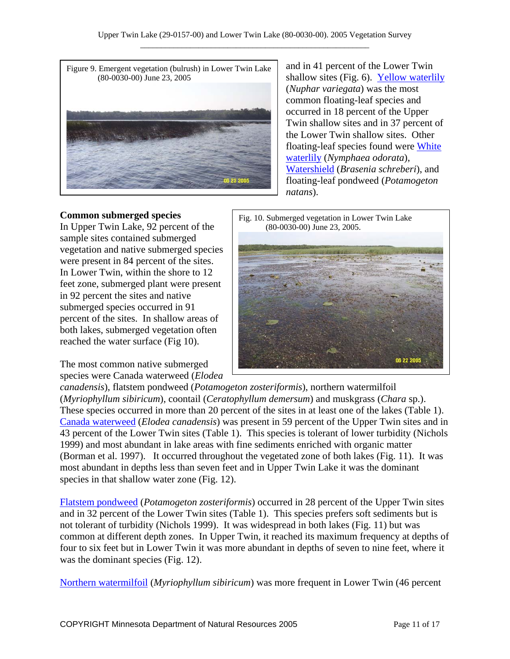

and in 41 percent of the Lower Twin shallow sites (Fig. 6). [Yellow waterlily](http://www.dnr.state.mn.us/aquatic_plants/floatingleaf_plants/spatterdock.html) (*Nuphar variegata*) was the most common floating-leaf species and occurred in 18 percent of the Upper Twin shallow sites and in 37 percent of the Lower Twin shallow sites. Other floating-leaf species found were White [waterlily](http://www.dnr.state.mn.us/aquatic_plants/floatingleaf_plants/white_water_lily.html) (*Nymphaea odorata*), [Watershield](http://www.dnr.state.mn.us/aquatic_plants/floatingleaf_plants/watershield.html) (*Brasenia schreberi*), and floating-leaf pondweed (*Potamogeton natans*).

#### **Common submerged species**

In Upper Twin Lake, 92 percent of the sample sites contained submerged vegetation and native submerged species were present in 84 percent of the sites. In Lower Twin, within the shore to 12 feet zone, submerged plant were present in 92 percent the sites and native submerged species occurred in 91 percent of the sites. In shallow areas of both lakes, submerged vegetation often reached the water surface (Fig 10).

The most common native submerged species were Canada waterweed (*Elodea* 



*canadensis*), flatstem pondweed (*Potamogeton zosteriformis*), northern watermilfoil (*Myriophyllum sibiricum*), coontail (*Ceratophyllum demersum*) and muskgrass (*Chara* sp.). These species occurred in more than 20 percent of the sites in at least one of the lakes (Table 1). [Canada waterweed](http://www.dnr.state.mn.us/aquatic_plants/submerged_plants/canada_waterweed.html) (*Elodea canadensis*) was present in 59 percent of the Upper Twin sites and in 43 percent of the Lower Twin sites (Table 1). This species is tolerant of lower turbidity (Nichols 1999) and most abundant in lake areas with fine sediments enriched with organic matter (Borman et al. 1997). It occurred throughout the vegetated zone of both lakes (Fig. 11). It was most abundant in depths less than seven feet and in Upper Twin Lake it was the dominant species in that shallow water zone (Fig. 12).

[Flatstem pondweed](http://www.dnr.state.mn.us/aquatic_plants/submerged_plants/narrowleaf_pondweeds.html) (*Potamogeton zosteriformis*) occurred in 28 percent of the Upper Twin sites and in 32 percent of the Lower Twin sites (Table 1). This species prefers soft sediments but is not tolerant of turbidity (Nichols 1999). It was widespread in both lakes (Fig. 11) but was common at different depth zones. In Upper Twin, it reached its maximum frequency at depths of four to six feet but in Lower Twin it was more abundant in depths of seven to nine feet, where it was the dominant species (Fig. 12).

[Northern watermilfoil](http://www.dnr.state.mn.us/aquatic_plants/submerged_plants/northern_watermilfoil.html) (*Myriophyllum sibiricum*) was more frequent in Lower Twin (46 percent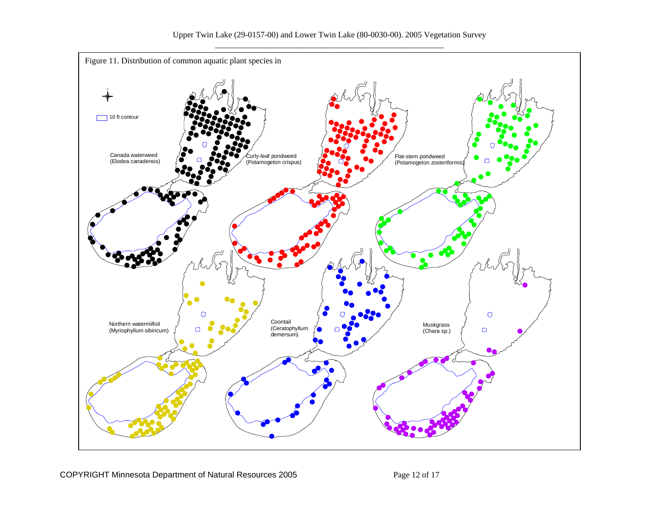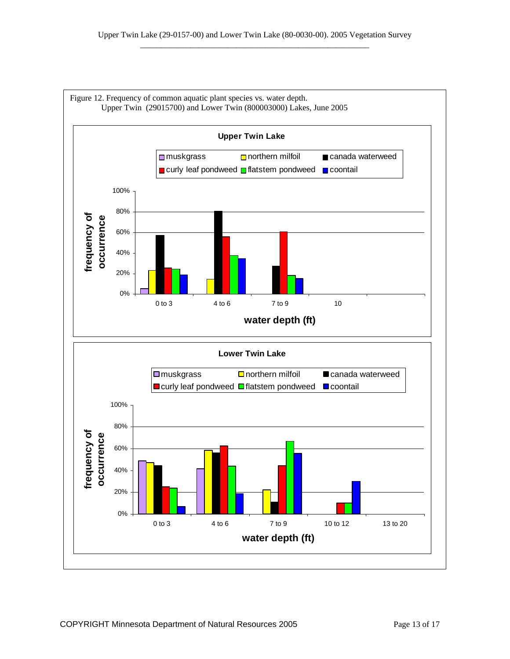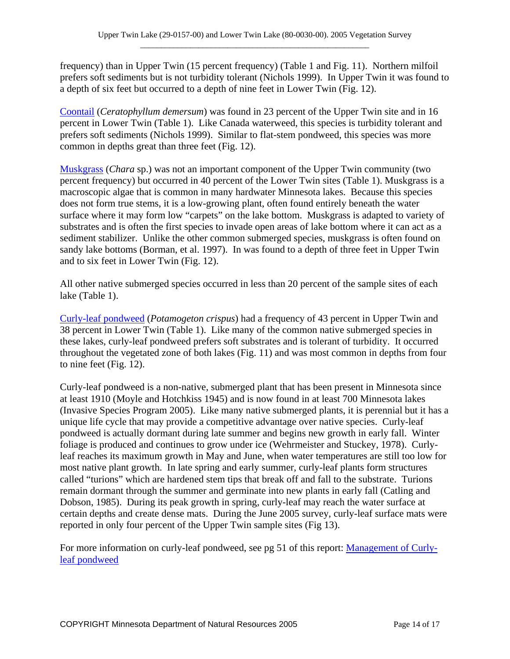frequency) than in Upper Twin (15 percent frequency) (Table 1 and Fig. 11). Northern milfoil prefers soft sediments but is not turbidity tolerant (Nichols 1999). In Upper Twin it was found to a depth of six feet but occurred to a depth of nine feet in Lower Twin (Fig. 12).

[Coontail](http://www.dnr.state.mn.us/aquatic_plants/submerged_plants/coontail.html) (*Ceratophyllum demersum*) was found in 23 percent of the Upper Twin site and in 16 percent in Lower Twin (Table 1). Like Canada waterweed, this species is turbidity tolerant and prefers soft sediments (Nichols 1999). Similar to flat-stem pondweed, this species was more common in depths great than three feet (Fig. 12).

[Muskgrass](http://www.dnr.state.mn.us/aquatic_plants/algae/chara.html) (*Chara* sp.) was not an important component of the Upper Twin community (two percent frequency) but occurred in 40 percent of the Lower Twin sites (Table 1). Muskgrass is a macroscopic algae that is common in many hardwater Minnesota lakes. Because this species does not form true stems, it is a low-growing plant, often found entirely beneath the water surface where it may form low "carpets" on the lake bottom. Muskgrass is adapted to variety of substrates and is often the first species to invade open areas of lake bottom where it can act as a sediment stabilizer. Unlike the other common submerged species, muskgrass is often found on sandy lake bottoms (Borman, et al. 1997). In was found to a depth of three feet in Upper Twin and to six feet in Lower Twin (Fig. 12).

All other native submerged species occurred in less than 20 percent of the sample sites of each lake (Table 1).

[Curly-leaf pondweed](http://www.dnr.state.mn.us/aquatic_plants/submerged_plants/curlyleaf_pondweed.html) (*Potamogeton crispus*) had a frequency of 43 percent in Upper Twin and 38 percent in Lower Twin (Table 1). Like many of the common native submerged species in these lakes, curly-leaf pondweed prefers soft substrates and is tolerant of turbidity. It occurred throughout the vegetated zone of both lakes (Fig. 11) and was most common in depths from four to nine feet (Fig. 12).

Curly-leaf pondweed is a non-native, submerged plant that has been present in Minnesota since at least 1910 (Moyle and Hotchkiss 1945) and is now found in at least 700 Minnesota lakes (Invasive Species Program 2005). Like many native submerged plants, it is perennial but it has a unique life cycle that may provide a competitive advantage over native species. Curly-leaf pondweed is actually dormant during late summer and begins new growth in early fall. Winter foliage is produced and continues to grow under ice (Wehrmeister and Stuckey, 1978). Curlyleaf reaches its maximum growth in May and June, when water temperatures are still too low for most native plant growth. In late spring and early summer, curly-leaf plants form structures called "turions" which are hardened stem tips that break off and fall to the substrate. Turions remain dormant through the summer and germinate into new plants in early fall (Catling and Dobson, 1985). During its peak growth in spring, curly-leaf may reach the water surface at certain depths and create dense mats. During the June 2005 survey, curly-leaf surface mats were reported in only four percent of the Upper Twin sample sites (Fig 13).

For more information on curly-leaf pondweed, see pg 51 of this report: [Management of Curly](http://files.dnr.state.mn.us/ecological_services/invasives/annualreport.pdf)[leaf pondweed](http://files.dnr.state.mn.us/ecological_services/invasives/annualreport.pdf)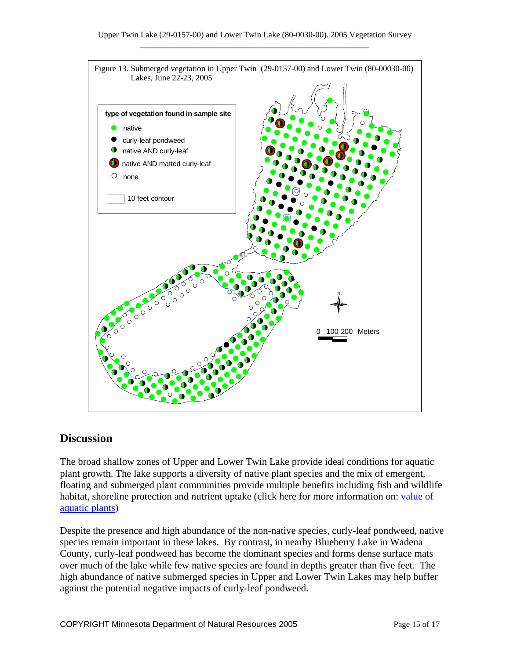

### **Discussion**

The broad shallow zones of Upper and Lower Twin Lake provide ideal conditions for aquatic plant growth. The lake supports a diversity of native plant species and the mix of emergent, floating and submerged plant communities provide multiple benefits including fish and wildlife habitat, shoreline protection and nutrient uptake (click here for more information on: value of aquatic plants)

Despite the presence and high abundance of the non-native species, curly-leaf pondweed, native species remain important in these lakes. By contrast, in nearby Blueberry Lake in Wadena County, curly-leaf pondweed has become the dominant species and forms dense surface mats over much of the lake while few native species are found in depths greater than five feet. The high abundance of native submerged species in Upper and Lower Twin Lakes may help buffer against the potential negative impacts of curly-leaf pondweed.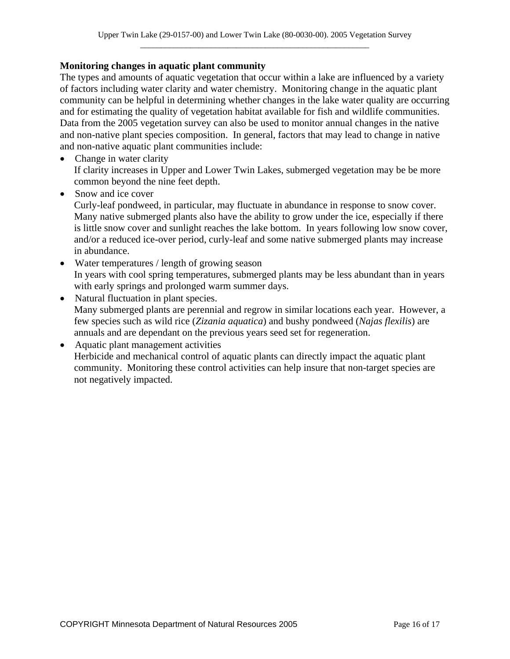#### **Monitoring changes in aquatic plant community**

The types and amounts of aquatic vegetation that occur within a lake are influenced by a variety of factors including water clarity and water chemistry. Monitoring change in the aquatic plant community can be helpful in determining whether changes in the lake water quality are occurring and for estimating the quality of vegetation habitat available for fish and wildlife communities. Data from the 2005 vegetation survey can also be used to monitor annual changes in the native and non-native plant species composition. In general, factors that may lead to change in native and non-native aquatic plant communities include:

- Change in water clarity If clarity increases in Upper and Lower Twin Lakes, submerged vegetation may be be more common beyond the nine feet depth.
- Snow and ice cover

Curly-leaf pondweed, in particular, may fluctuate in abundance in response to snow cover. Many native submerged plants also have the ability to grow under the ice, especially if there is little snow cover and sunlight reaches the lake bottom. In years following low snow cover, and/or a reduced ice-over period, curly-leaf and some native submerged plants may increase in abundance.

- Water temperatures / length of growing season In years with cool spring temperatures, submerged plants may be less abundant than in years with early springs and prolonged warm summer days.
- Natural fluctuation in plant species. Many submerged plants are perennial and regrow in similar locations each year. However, a few species such as wild rice (*Zizania aquatica*) and bushy pondweed (*Najas flexilis*) are annuals and are dependant on the previous years seed set for regeneration.
- Aquatic plant management activities Herbicide and mechanical control of aquatic plants can directly impact the aquatic plant community. Monitoring these control activities can help insure that non-target species are not negatively impacted.